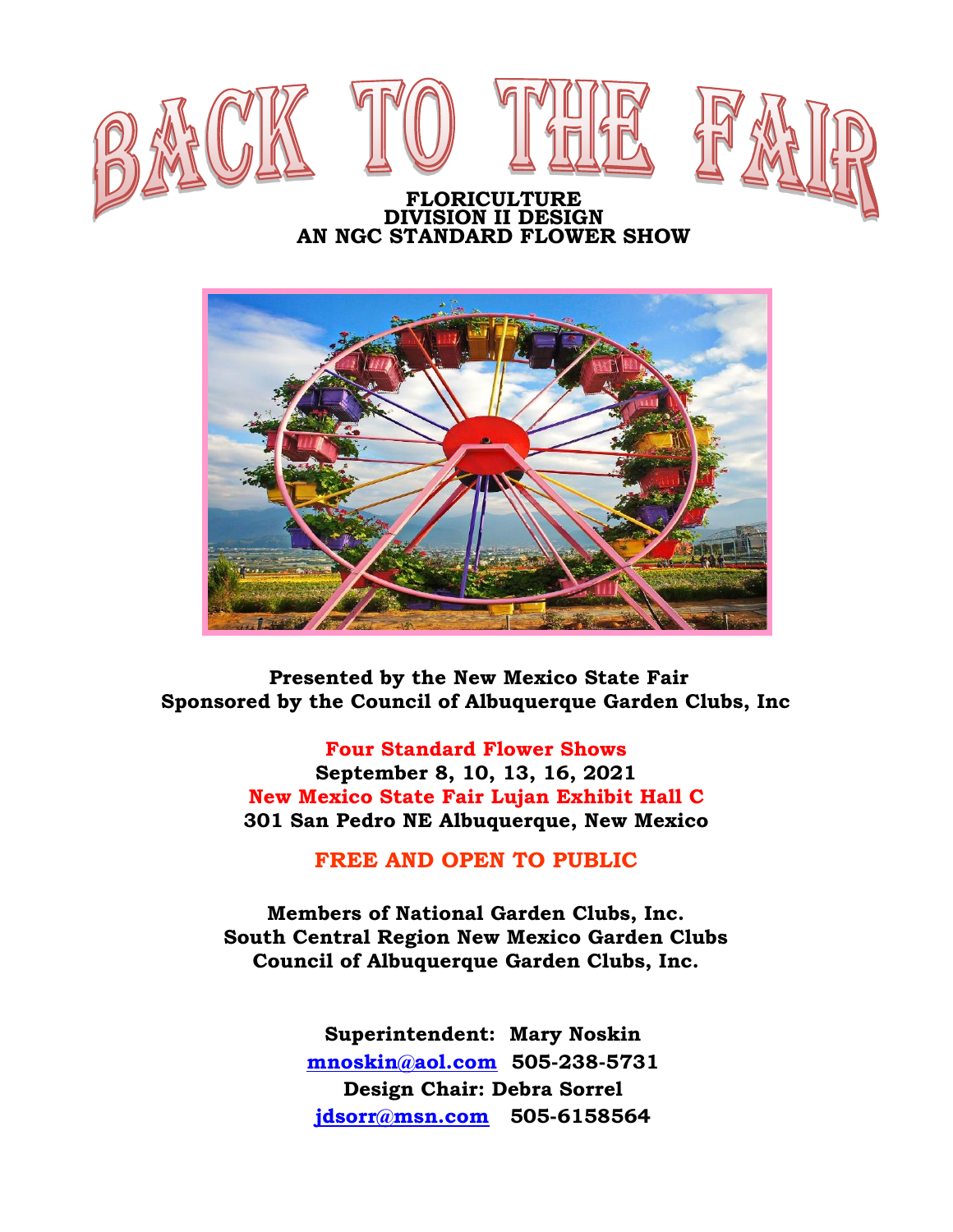



 **Presented by the New Mexico State Fair Sponsored by the Council of Albuquerque Garden Clubs, Inc**

> **Four Standard Flower Shows September 8, 10, 13, 16, 2021 New Mexico State Fair Lujan Exhibit Hall C 301 San Pedro NE Albuquerque, New Mexico**

> > **FREE AND OPEN TO PUBLIC**

**Members of National Garden Clubs, Inc. South Central Region New Mexico Garden Clubs Council of Albuquerque Garden Clubs, Inc.**

> **Superintendent: Mary Noskin [mnoskin@aol.com](mailto:mnoskin@aol.com) 505-238-5731 Design Chair: Debra Sorrel [jdsorr@msn.com](mailto:jdsorr@msn.com) 505-6158564**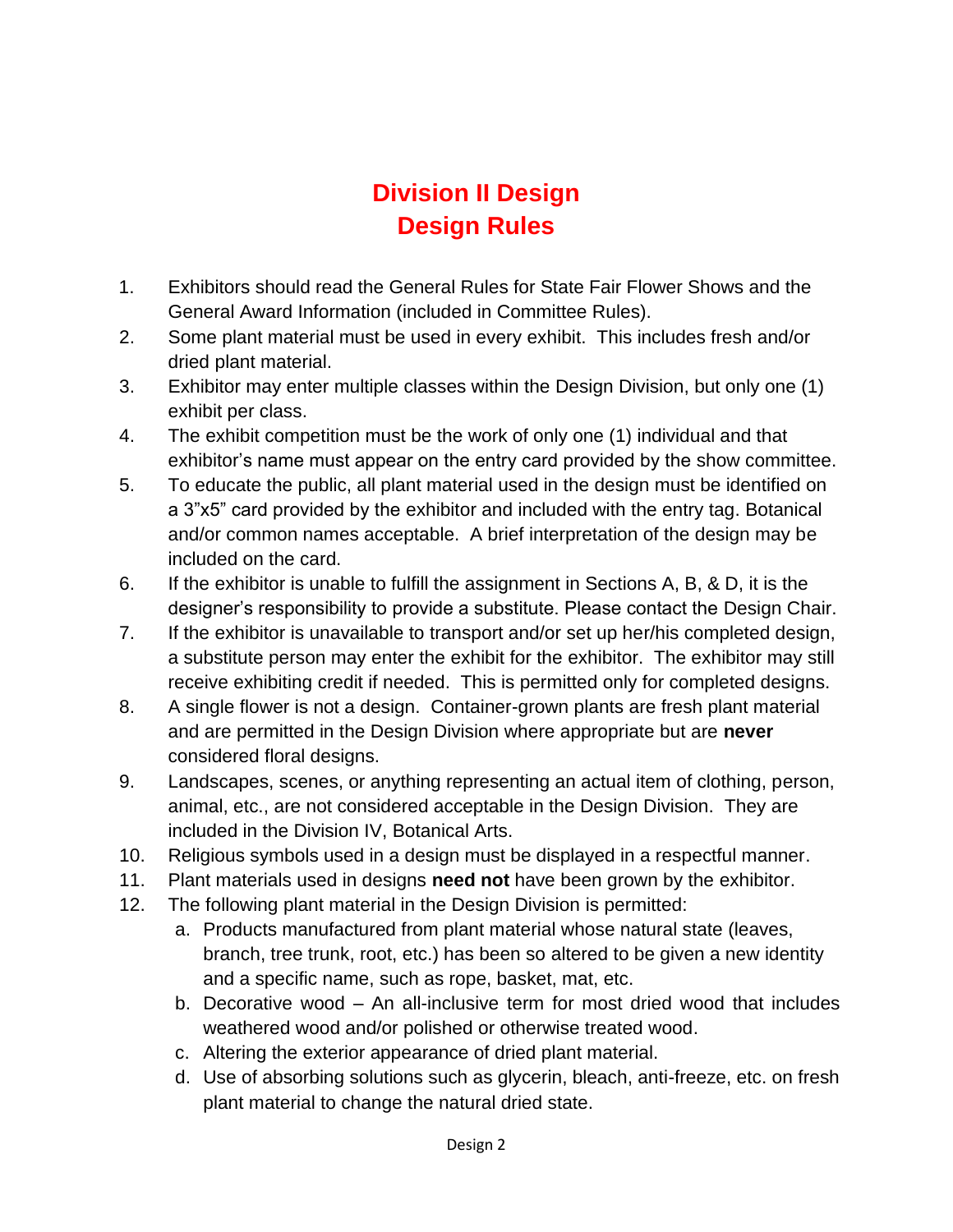## **Division II Design Design Rules**

- 1. Exhibitors should read the General Rules for State Fair Flower Shows and the General Award Information (included in Committee Rules).
- 2. Some plant material must be used in every exhibit. This includes fresh and/or dried plant material.
- 3. Exhibitor may enter multiple classes within the Design Division, but only one (1) exhibit per class.
- 4. The exhibit competition must be the work of only one (1) individual and that exhibitor's name must appear on the entry card provided by the show committee.
- 5. To educate the public, all plant material used in the design must be identified on a 3"x5" card provided by the exhibitor and included with the entry tag. Botanical and/or common names acceptable. A brief interpretation of the design may be included on the card.
- 6. If the exhibitor is unable to fulfill the assignment in Sections A, B, & D, it is the designer's responsibility to provide a substitute. Please contact the Design Chair.
- 7. If the exhibitor is unavailable to transport and/or set up her/his completed design, a substitute person may enter the exhibit for the exhibitor. The exhibitor may still receive exhibiting credit if needed. This is permitted only for completed designs.
- 8. A single flower is not a design. Container-grown plants are fresh plant material and are permitted in the Design Division where appropriate but are **never** considered floral designs.
- 9. Landscapes, scenes, or anything representing an actual item of clothing, person, animal, etc., are not considered acceptable in the Design Division. They are included in the Division IV, Botanical Arts.
- 10. Religious symbols used in a design must be displayed in a respectful manner.
- 11. Plant materials used in designs **need not** have been grown by the exhibitor.
- 12. The following plant material in the Design Division is permitted:
	- a. Products manufactured from plant material whose natural state (leaves, branch, tree trunk, root, etc.) has been so altered to be given a new identity and a specific name, such as rope, basket, mat, etc.
	- b. Decorative wood An all-inclusive term for most dried wood that includes weathered wood and/or polished or otherwise treated wood.
	- c. Altering the exterior appearance of dried plant material.
	- d. Use of absorbing solutions such as glycerin, bleach, anti-freeze, etc. on fresh plant material to change the natural dried state.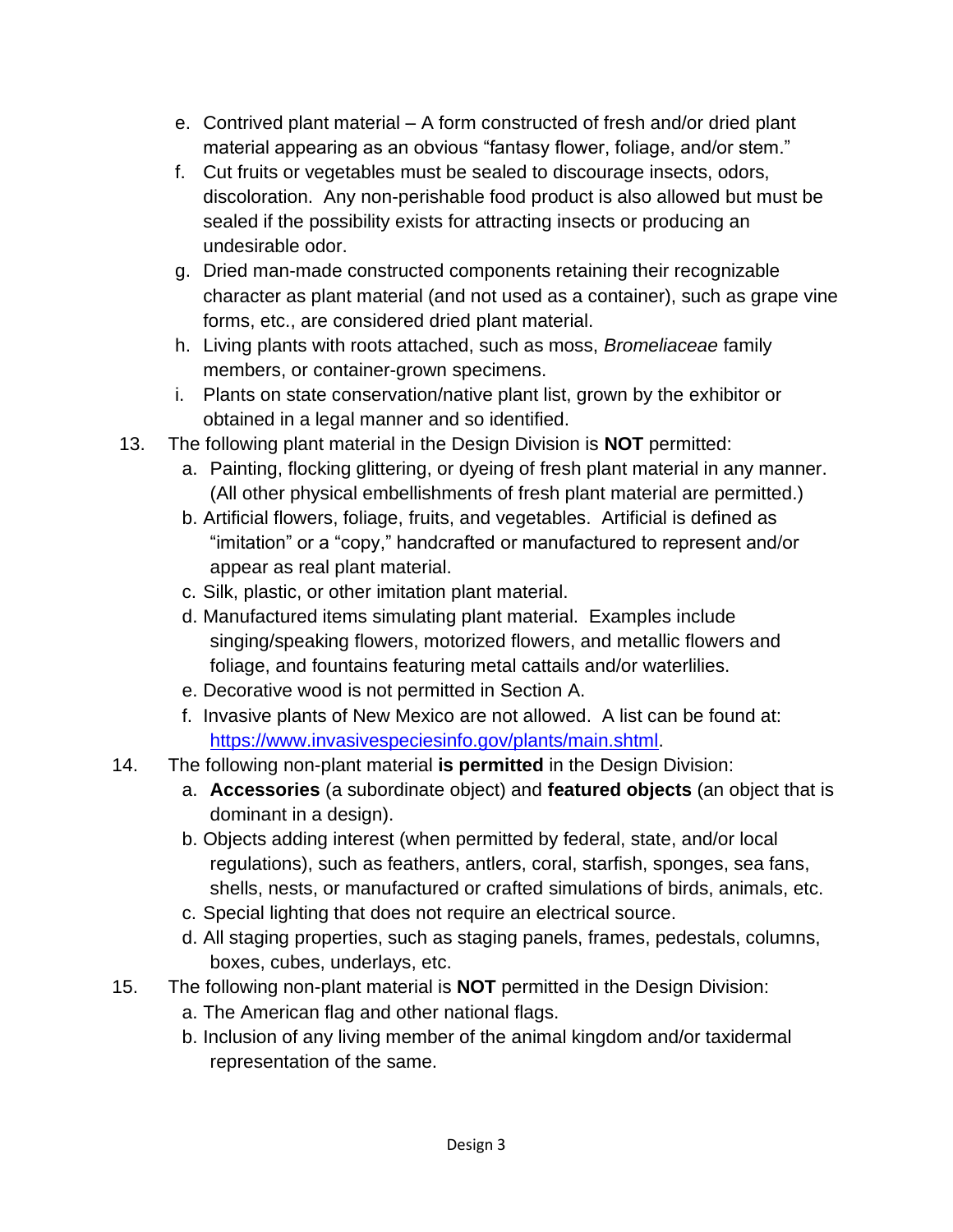- e. Contrived plant material A form constructed of fresh and/or dried plant material appearing as an obvious "fantasy flower, foliage, and/or stem."
- f. Cut fruits or vegetables must be sealed to discourage insects, odors, discoloration. Any non-perishable food product is also allowed but must be sealed if the possibility exists for attracting insects or producing an undesirable odor.
- g. Dried man-made constructed components retaining their recognizable character as plant material (and not used as a container), such as grape vine forms, etc., are considered dried plant material.
- h. Living plants with roots attached, such as moss, *Bromeliaceae* family members, or container-grown specimens.
- i. Plants on state conservation/native plant list, grown by the exhibitor or obtained in a legal manner and so identified.
- 13. The following plant material in the Design Division is **NOT** permitted:
	- a. Painting, flocking glittering, or dyeing of fresh plant material in any manner. (All other physical embellishments of fresh plant material are permitted.)
	- b. Artificial flowers, foliage, fruits, and vegetables. Artificial is defined as "imitation" or a "copy," handcrafted or manufactured to represent and/or appear as real plant material.
	- c. Silk, plastic, or other imitation plant material.
	- d. Manufactured items simulating plant material. Examples include singing/speaking flowers, motorized flowers, and metallic flowers and foliage, and fountains featuring metal cattails and/or waterlilies.
	- e. Decorative wood is not permitted in Section A.
	- f. Invasive plants of New Mexico are not allowed. A list can be found at: [https://www.invasivespeciesinfo.gov/plants/main.shtml.](about:blank)
- 14. The following non-plant material **is permitted** in the Design Division:
	- a. **Accessories** (a subordinate object) and **featured objects** (an object that is dominant in a design).
	- b. Objects adding interest (when permitted by federal, state, and/or local regulations), such as feathers, antlers, coral, starfish, sponges, sea fans, shells, nests, or manufactured or crafted simulations of birds, animals, etc.
	- c. Special lighting that does not require an electrical source.
	- d. All staging properties, such as staging panels, frames, pedestals, columns, boxes, cubes, underlays, etc.
- 15. The following non-plant material is **NOT** permitted in the Design Division:
	- a. The American flag and other national flags.
	- b. Inclusion of any living member of the animal kingdom and/or taxidermal representation of the same.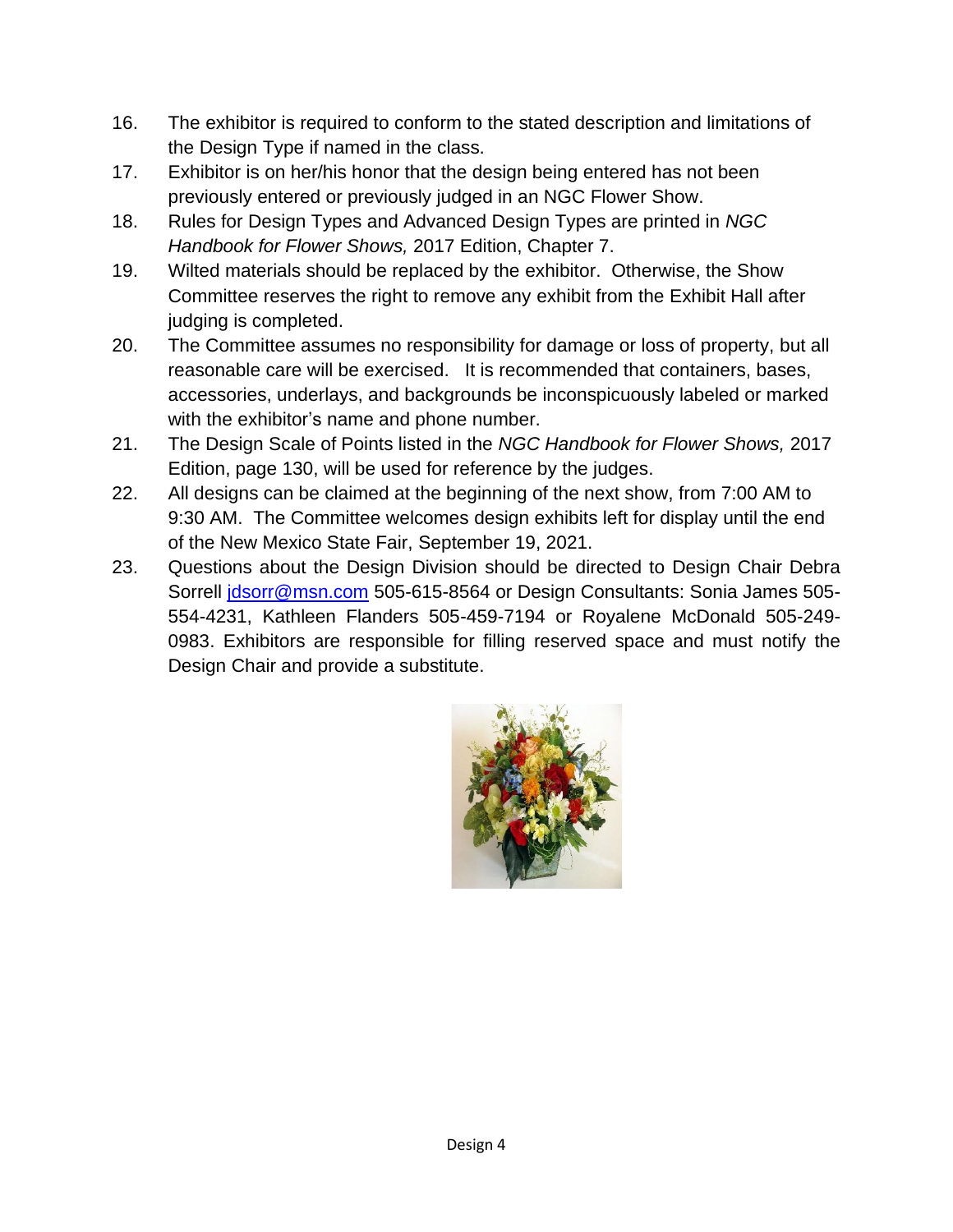- 16. The exhibitor is required to conform to the stated description and limitations of the Design Type if named in the class.
- 17. Exhibitor is on her/his honor that the design being entered has not been previously entered or previously judged in an NGC Flower Show.
- 18. Rules for Design Types and Advanced Design Types are printed in *NGC Handbook for Flower Shows,* 2017 Edition, Chapter 7.
- 19. Wilted materials should be replaced by the exhibitor. Otherwise, the Show Committee reserves the right to remove any exhibit from the Exhibit Hall after judging is completed.
- 20. The Committee assumes no responsibility for damage or loss of property, but all reasonable care will be exercised. It is recommended that containers, bases, accessories, underlays, and backgrounds be inconspicuously labeled or marked with the exhibitor's name and phone number.
- 21. The Design Scale of Points listed in the *NGC Handbook for Flower Shows,* 2017 Edition, page 130, will be used for reference by the judges.
- 22. All designs can be claimed at the beginning of the next show, from 7:00 AM to 9:30 AM. The Committee welcomes design exhibits left for display until the end of the New Mexico State Fair, September 19, 2021.
- 23. Questions about the Design Division should be directed to Design Chair Debra Sorrell [jdsorr@msn.com](mailto:jdsorr@msn.com) 505-615-8564 or Design Consultants: Sonia James 505- 554-4231, Kathleen Flanders 505-459-7194 or Royalene McDonald 505-249- 0983. Exhibitors are responsible for filling reserved space and must notify the Design Chair and provide a substitute.

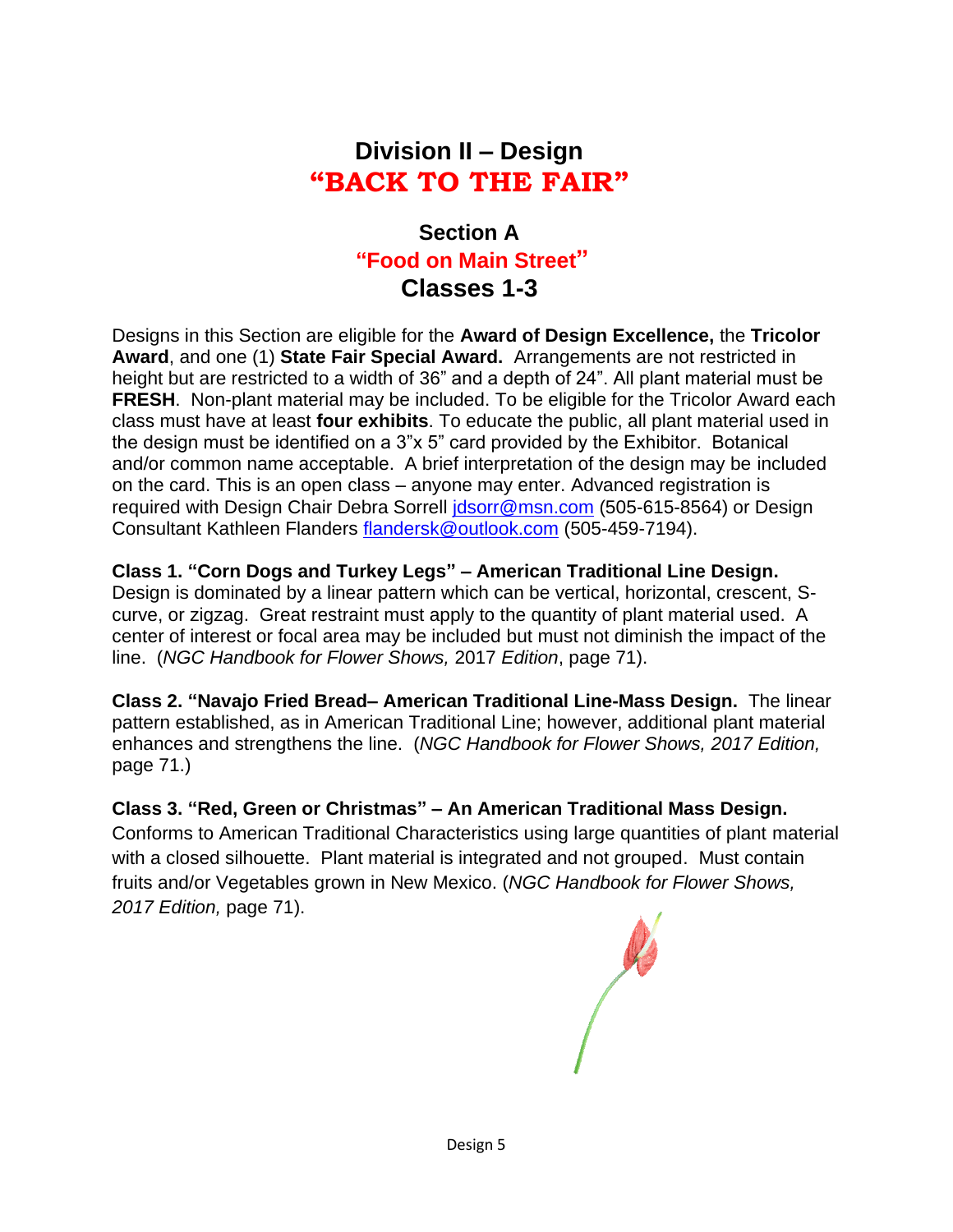## **Division II – Design "BACK TO THE FAIR"**

#### **Section A "Food on Main Street" Classes 1-3**

Designs in this Section are eligible for the **Award of Design Excellence,** the **Tricolor Award**, and one (1) **State Fair Special Award.** Arrangements are not restricted in height but are restricted to a width of 36" and a depth of 24". All plant material must be **FRESH**. Non-plant material may be included. To be eligible for the Tricolor Award each class must have at least **four exhibits**. To educate the public, all plant material used in the design must be identified on a 3"x 5" card provided by the Exhibitor. Botanical and/or common name acceptable. A brief interpretation of the design may be included on the card. This is an open class – anyone may enter. Advanced registration is required with Design Chair Debra Sorrell [jdsorr@msn.com](mailto:jdsorr@msn.com) (505-615-8564) or Design Consultant Kathleen Flanders [flandersk@outlook.com](mailto:flandersk@outlook.com) (505-459-7194).

#### **Class 1. "Corn Dogs and Turkey Legs" – American Traditional Line Design.**

Design is dominated by a linear pattern which can be vertical, horizontal, crescent, Scurve, or zigzag. Great restraint must apply to the quantity of plant material used. A center of interest or focal area may be included but must not diminish the impact of the line. (*NGC Handbook for Flower Shows,* 2017 *Edition*, page 71).

**Class 2. "Navajo Fried Bread– American Traditional Line-Mass Design.** The linear pattern established, as in American Traditional Line; however, additional plant material enhances and strengthens the line. (*NGC Handbook for Flower Shows, 2017 Edition,*  page 71.)

#### **Class 3. "Red, Green or Christmas" – An American Traditional Mass Design.**

Conforms to American Traditional Characteristics using large quantities of plant material with a closed silhouette. Plant material is integrated and not grouped. Must contain fruits and/or Vegetables grown in New Mexico. (*NGC Handbook for Flower Shows, 2017 Edition,* page 71).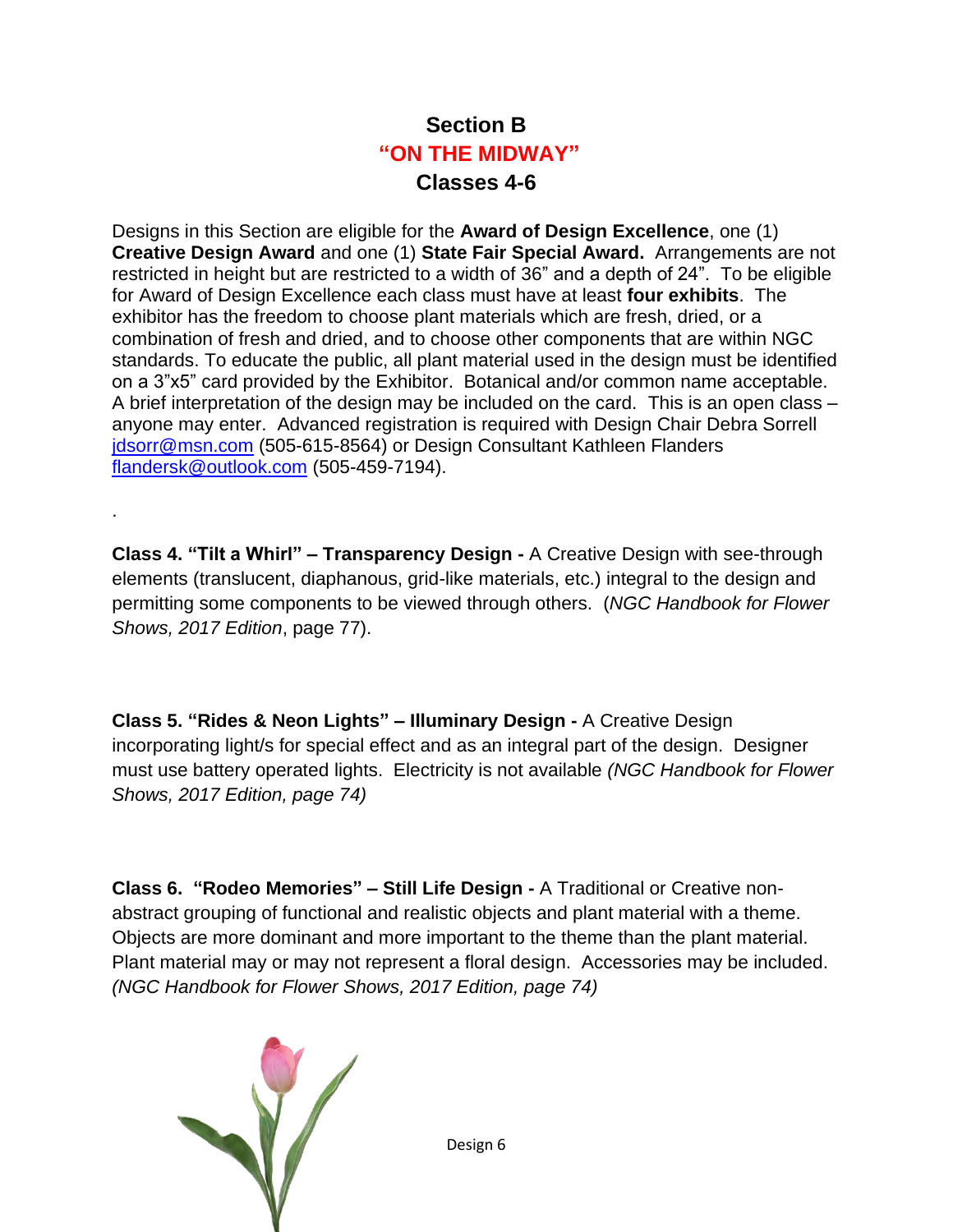### **Section B "ON THE MIDWAY" Classes 4-6**

Designs in this Section are eligible for the **Award of Design Excellence**, one (1) **Creative Design Award** and one (1) **State Fair Special Award.** Arrangements are not restricted in height but are restricted to a width of 36" and a depth of 24". To be eligible for Award of Design Excellence each class must have at least **four exhibits**. The exhibitor has the freedom to choose plant materials which are fresh, dried, or a combination of fresh and dried, and to choose other components that are within NGC standards. To educate the public, all plant material used in the design must be identified on a 3"x5" card provided by the Exhibitor. Botanical and/or common name acceptable. A brief interpretation of the design may be included on the card. This is an open class – anyone may enter. Advanced registration is required with Design Chair Debra Sorrell [jdsorr@msn.com](mailto:jdsorr@msn.com) (505-615-8564) or Design Consultant Kathleen Flanders [flandersk@outlook.com](mailto:flandersk@outlook.com) (505-459-7194).

**Class 4. "Tilt a Whirl" – Transparency Design -** A Creative Design with see-through elements (translucent, diaphanous, grid-like materials, etc.) integral to the design and permitting some components to be viewed through others. (*NGC Handbook for Flower Shows, 2017 Edition*, page 77).

**Class 5. "Rides & Neon Lights" – Illuminary Design -** A Creative Design incorporating light/s for special effect and as an integral part of the design. Designer must use battery operated lights. Electricity is not available *(NGC Handbook for Flower Shows, 2017 Edition, page 74)*

**Class 6. "Rodeo Memories" – Still Life Design -** A Traditional or Creative nonabstract grouping of functional and realistic objects and plant material with a theme. Objects are more dominant and more important to the theme than the plant material. Plant material may or may not represent a floral design. Accessories may be included. *(NGC Handbook for Flower Shows, 2017 Edition, page 74)*



.

Design 6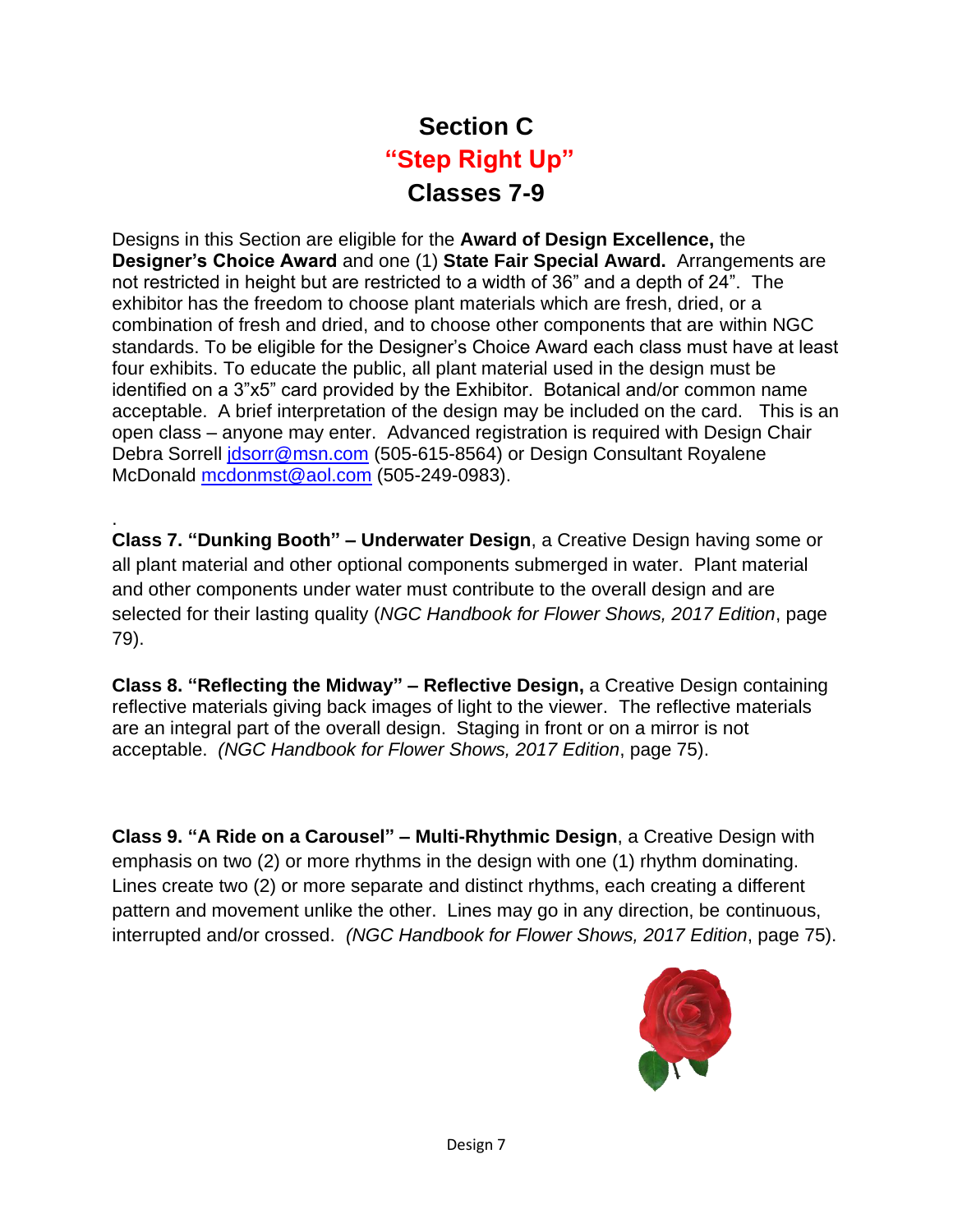# **Section C "Step Right Up" Classes 7-9**

Designs in this Section are eligible for the **Award of Design Excellence,** the **Designer's Choice Award** and one (1) **State Fair Special Award.** Arrangements are not restricted in height but are restricted to a width of 36" and a depth of 24". The exhibitor has the freedom to choose plant materials which are fresh, dried, or a combination of fresh and dried, and to choose other components that are within NGC standards. To be eligible for the Designer's Choice Award each class must have at least four exhibits. To educate the public, all plant material used in the design must be identified on a 3"x5" card provided by the Exhibitor. Botanical and/or common name acceptable. A brief interpretation of the design may be included on the card. This is an open class – anyone may enter. Advanced registration is required with Design Chair Debra Sorrell [jdsorr@msn.com](mailto:jdsorr@msn.com) (505-615-8564) or Design Consultant Royalene McDonald [mcdonmst@aol.com](mailto:mcdonmst@aol.com) (505-249-0983).

**Class 7. "Dunking Booth" – Underwater Design**, a Creative Design having some or all plant material and other optional components submerged in water. Plant material and other components under water must contribute to the overall design and are selected for their lasting quality (*NGC Handbook for Flower Shows, 2017 Edition*, page 79).

.

**Class 8. "Reflecting the Midway" – Reflective Design,** a Creative Design containing reflective materials giving back images of light to the viewer. The reflective materials are an integral part of the overall design. Staging in front or on a mirror is not acceptable. *(NGC Handbook for Flower Shows, 2017 Edition*, page 75).

**Class 9. "A Ride on a Carousel" – Multi-Rhythmic Design**, a Creative Design with emphasis on two (2) or more rhythms in the design with one (1) rhythm dominating. Lines create two (2) or more separate and distinct rhythms, each creating a different pattern and movement unlike the other. Lines may go in any direction, be continuous, interrupted and/or crossed. *(NGC Handbook for Flower Shows, 2017 Edition*, page 75).

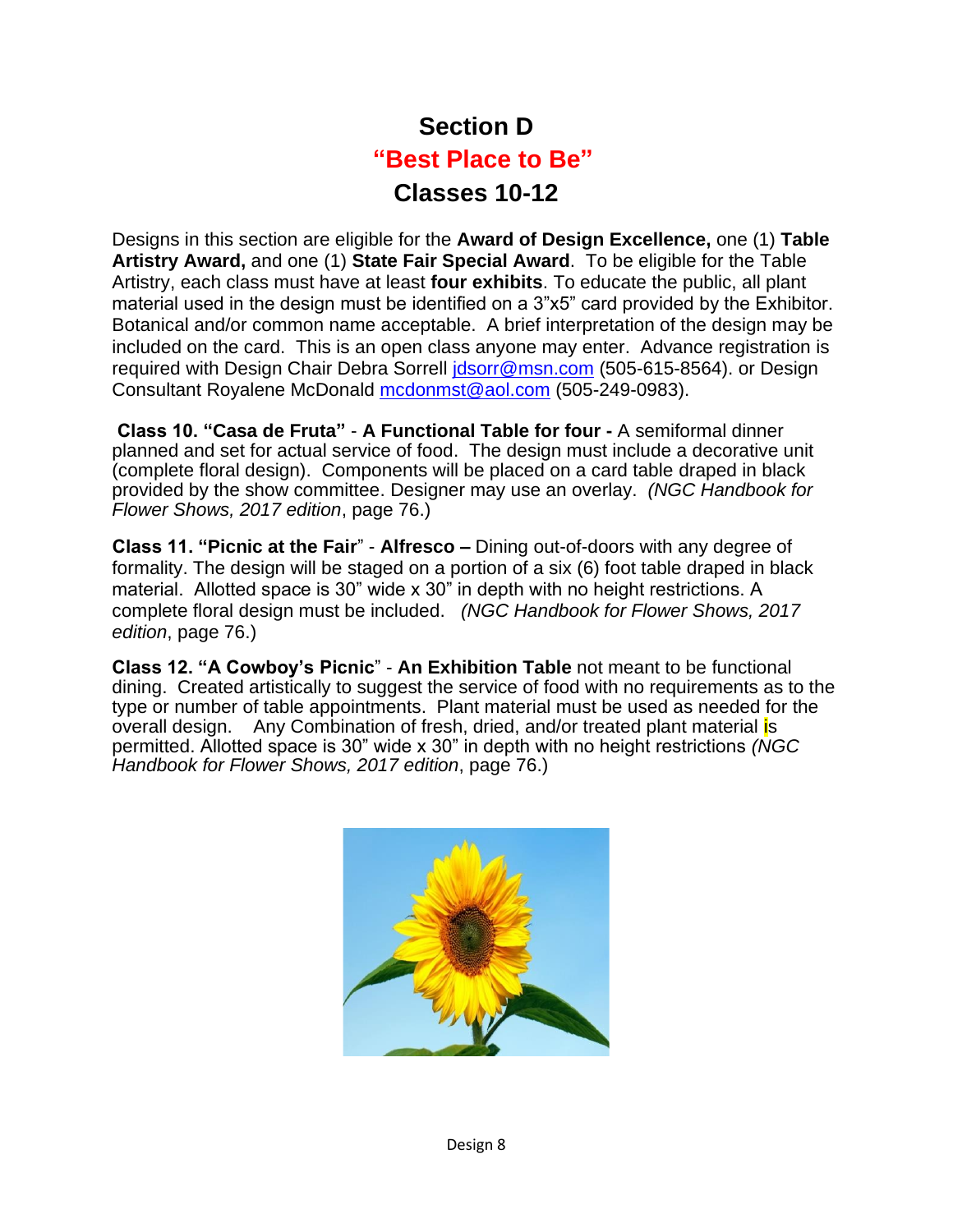# **Section D "Best Place to Be" Classes 10-12**

Designs in this section are eligible for the **Award of Design Excellence,** one (1) **Table Artistry Award,** and one (1) **State Fair Special Award**. To be eligible for the Table Artistry, each class must have at least **four exhibits**. To educate the public, all plant material used in the design must be identified on a 3"x5" card provided by the Exhibitor. Botanical and/or common name acceptable. A brief interpretation of the design may be included on the card. This is an open class anyone may enter. Advance registration is required with Design Chair Debra Sorrell [jdsorr@msn.com](mailto:jdsorr@msn.com) (505-615-8564). or Design Consultant Royalene McDonald [mcdonmst@aol.com](mailto:mcdonmst@aol.com) (505-249-0983).

**Class 10. "Casa de Fruta"** - **A Functional Table for four -** A semiformal dinner planned and set for actual service of food. The design must include a decorative unit (complete floral design). Components will be placed on a card table draped in black provided by the show committee. Designer may use an overlay. *(NGC Handbook for Flower Shows, 2017 edition*, page 76.)

**Class 11. "Picnic at the Fair**" - **Alfresco –** Dining out-of-doors with any degree of formality. The design will be staged on a portion of a six (6) foot table draped in black material. Allotted space is 30" wide x 30" in depth with no height restrictions. A complete floral design must be included. *(NGC Handbook for Flower Shows, 2017 edition*, page 76.)

**Class 12. "A Cowboy's Picnic**" - **An Exhibition Table** not meant to be functional dining. Created artistically to suggest the service of food with no requirements as to the type or number of table appointments. Plant material must be used as needed for the overall design. Any Combination of fresh, dried, and/or treated plant material is permitted. Allotted space is 30" wide x 30" in depth with no height restrictions *(NGC Handbook for Flower Shows, 2017 edition*, page 76.)